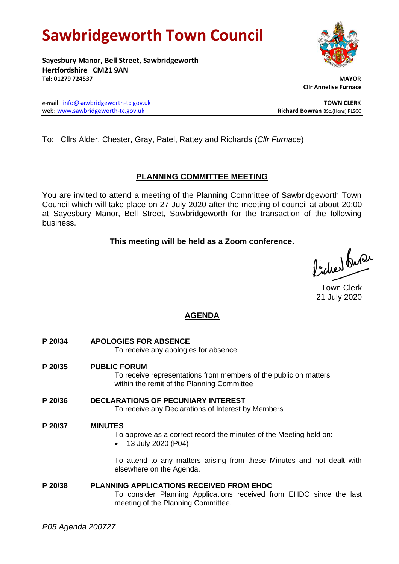# **Sawbridgeworth Town Council**

**Sayesbury Manor, Bell Street, Sawbridgeworth Hertfordshire CM21 9AN Tel: 01279 724537 MAYOR**

e-mail: [info@sawbridgeworth-tc.gov.uk](mailto:info@sawbridgeworth-tc.gov.uk) **TOWN CLERK** web: www.sawbridgeworth-tc.gov.uk<br> **Richard Bowran** BSc.(Hons) PLSCC

To: Cllrs Alder, Chester, Gray, Patel, Rattey and Richards (*Cllr Furnace*)

## **PLANNING COMMITTEE MEETING**

You are invited to attend a meeting of the Planning Committee of Sawbridgeworth Town Council which will take place on 27 July 2020 after the meeting of council at about 20:00 at Sayesbury Manor, Bell Street, Sawbridgeworth for the transaction of the following business.

### **This meeting will be held as a Zoom conference.**

Picked fuse

Town Clerk 21 July 2020

## **AGENDA**

- **P 20/34 APOLOGIES FOR ABSENCE** To receive any apologies for absence **P 20/35 PUBLIC FORUM** To receive representations from members of the public on matters within the remit of the Planning Committee **P 20/36 DECLARATIONS OF PECUNIARY INTEREST** To receive any Declarations of Interest by Members **P 20/37 MINUTES** To approve as a correct record the minutes of the Meeting held on: • 13 July 2020 (P04) To attend to any matters arising from these Minutes and not dealt with elsewhere on the Agenda.
- **P 20/38 PLANNING APPLICATIONS RECEIVED FROM EHDC** To consider Planning Applications received from EHDC since the last meeting of the Planning Committee.



 **Cllr Annelise Furnace**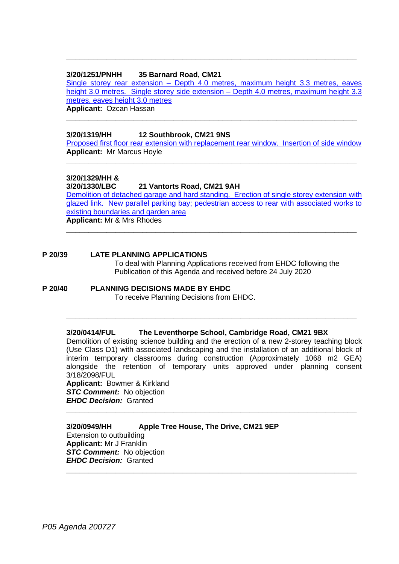#### **3/20/1251/PNHH 35 Barnard Road, CM21**

Single storey rear extension – [Depth 4.0 metres, maximum height 3.3 metres, eaves](https://publicaccess.eastherts.gov.uk/online-applications/applicationDetails.do?activeTab=documents&keyVal=QD38KVGL00X00)  [height 3.0 metres. Single storey side extension –](https://publicaccess.eastherts.gov.uk/online-applications/applicationDetails.do?activeTab=documents&keyVal=QD38KVGL00X00) Depth 4.0 metres, maximum height 3.3 [metres, eaves height 3.0 metres](https://publicaccess.eastherts.gov.uk/online-applications/applicationDetails.do?activeTab=documents&keyVal=QD38KVGL00X00) **Applicant:** Ozcan Hassan

**\_\_\_\_\_\_\_\_\_\_\_\_\_\_\_\_\_\_\_\_\_\_\_\_\_\_\_\_\_\_\_\_\_\_\_\_\_\_\_\_\_\_\_\_\_\_\_\_\_\_\_\_\_\_\_\_\_\_\_\_\_\_\_\_\_**

**\_\_\_\_\_\_\_\_\_\_\_\_\_\_\_\_\_\_\_\_\_\_\_\_\_\_\_\_\_\_\_\_\_\_\_\_\_\_\_\_\_\_\_\_\_\_\_\_\_\_\_\_\_\_\_\_\_\_\_\_\_\_\_\_\_**

**3/20/1319/HH 12 Southbrook, CM21 9NS**

[Proposed first floor rear extension with replacement rear](https://publicaccess.eastherts.gov.uk/online-applications/applicationDetails.do?activeTab=documents&keyVal=QDGHO0GLHLF00) window. Insertion of side window **Applicant:** Mr Marcus Hoyle

**\_\_\_\_\_\_\_\_\_\_\_\_\_\_\_\_\_\_\_\_\_\_\_\_\_\_\_\_\_\_\_\_\_\_\_\_\_\_\_\_\_\_\_\_\_\_\_\_\_\_\_\_\_\_\_\_\_\_\_\_\_\_\_\_\_**

#### **3/20/1329/HH &**

**3/20/1330/LBC 21 Vantorts Road, CM21 9AH**

[Demolition of detached garage and hard standing. Erection of single storey extension with](https://publicaccess.eastherts.gov.uk/online-applications/applicationDetails.do?activeTab=documents&keyVal=QDI0VZGLHLU00)  [glazed link. New parallel parking bay; pedestrian access to rear with associated works to](https://publicaccess.eastherts.gov.uk/online-applications/applicationDetails.do?activeTab=documents&keyVal=QDI0VZGLHLU00)  [existing boundaries and garden area](https://publicaccess.eastherts.gov.uk/online-applications/applicationDetails.do?activeTab=documents&keyVal=QDI0VZGLHLU00) **Applicant:** Mr & Mrs Rhodes

**\_\_\_\_\_\_\_\_\_\_\_\_\_\_\_\_\_\_\_\_\_\_\_\_\_\_\_\_\_\_\_\_\_\_\_\_\_\_\_\_\_\_\_\_\_\_\_\_\_\_\_\_\_\_\_\_\_\_\_\_\_\_\_\_\_**

**P 20/39 LATE PLANNING APPLICATIONS**

To deal with Planning Applications received from EHDC following the Publication of this Agenda and received before 24 July 2020

**P 20/40 PLANNING DECISIONS MADE BY EHDC**

To receive Planning Decisions from EHDC.

#### **3/20/0414/FUL The Leventhorpe School, Cambridge Road, CM21 9BX**

Demolition of existing science building and the erection of a new 2-storey teaching block (Use Class D1) with associated landscaping and the installation of an additional block of interim temporary classrooms during construction (Approximately 1068 m2 GEA) alongside the retention of temporary units approved under planning consent 3/18/2098/FUL

**\_\_\_\_\_\_\_\_\_\_\_\_\_\_\_\_\_\_\_\_\_\_\_\_\_\_\_\_\_\_\_\_\_\_\_\_\_\_\_\_\_\_\_\_\_\_\_\_\_\_\_\_\_\_\_\_\_\_\_\_\_\_\_\_\_**

**\_\_\_\_\_\_\_\_\_\_\_\_\_\_\_\_\_\_\_\_\_\_\_\_\_\_\_\_\_\_\_\_\_\_\_\_\_\_\_\_\_\_\_\_\_\_\_\_\_\_\_\_\_\_\_\_\_\_\_\_\_\_\_\_\_**

**\_\_\_\_\_\_\_\_\_\_\_\_\_\_\_\_\_\_\_\_\_\_\_\_\_\_\_\_\_\_\_\_\_\_\_\_\_\_\_\_\_\_\_\_\_\_\_\_\_\_\_\_\_\_\_\_\_\_\_\_\_\_\_\_\_**

**Applicant:** Bowmer & Kirkland *STC Comment:* No objection *EHDC Decision:* Granted

**3/20/0949/HH Apple Tree House, The Drive, CM21 9EP** Extension to outbuilding **Applicant:** Mr J Franklin **STC Comment:** No objection *EHDC Decision:* Granted